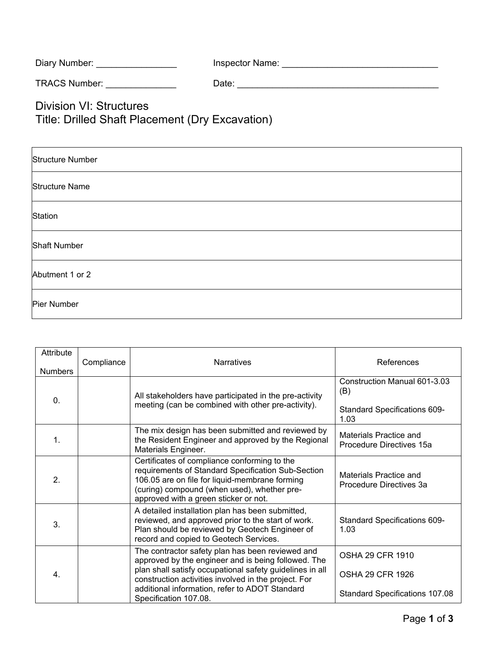| Diary Number: | Inspector Name: |
|---------------|-----------------|
|---------------|-----------------|

TRACS Number: \_\_\_\_\_\_\_\_\_\_\_\_\_\_ Date: \_\_\_\_\_\_\_\_\_\_\_\_\_\_\_\_\_\_\_\_\_\_\_\_\_\_\_\_\_\_\_\_\_\_\_\_\_\_\_\_

Division VI: Structures Title: Drilled Shaft Placement (Dry Excavation)

| <b>Structure Number</b> |
|-------------------------|
| <b>Structure Name</b>   |
| <b>Station</b>          |
| <b>Shaft Number</b>     |
| Abutment 1 or 2         |
| Pier Number             |

| Attribute                        | Compliance | <b>Narratives</b>                                                                                                                                                                                                                                                                                      | References                                                                         |
|----------------------------------|------------|--------------------------------------------------------------------------------------------------------------------------------------------------------------------------------------------------------------------------------------------------------------------------------------------------------|------------------------------------------------------------------------------------|
| <b>Numbers</b><br>$\mathbf{0}$ . |            | All stakeholders have participated in the pre-activity<br>meeting (can be combined with other pre-activity).                                                                                                                                                                                           | Construction Manual 601-3.03<br>(B)<br><b>Standard Specifications 609-</b><br>1.03 |
| 1.                               |            | The mix design has been submitted and reviewed by<br>the Resident Engineer and approved by the Regional<br>Materials Engineer.                                                                                                                                                                         | Materials Practice and<br>Procedure Directives 15a                                 |
| 2.                               |            | Certificates of compliance conforming to the<br>requirements of Standard Specification Sub-Section<br>106.05 are on file for liquid-membrane forming<br>(curing) compound (when used), whether pre-<br>approved with a green sticker or not.                                                           | Materials Practice and<br>Procedure Directives 3a                                  |
| 3.                               |            | A detailed installation plan has been submitted,<br>reviewed, and approved prior to the start of work.<br>Plan should be reviewed by Geotech Engineer of<br>record and copied to Geotech Services.                                                                                                     | <b>Standard Specifications 609-</b><br>1.03                                        |
| $\overline{4}$ .                 |            | The contractor safety plan has been reviewed and<br>approved by the engineer and is being followed. The<br>plan shall satisfy occupational safety guidelines in all<br>construction activities involved in the project. For<br>additional information, refer to ADOT Standard<br>Specification 107.08. | <b>OSHA 29 CFR 1910</b><br><b>OSHA 29 CFR 1926</b>                                 |
|                                  |            |                                                                                                                                                                                                                                                                                                        | Standard Specifications 107.08                                                     |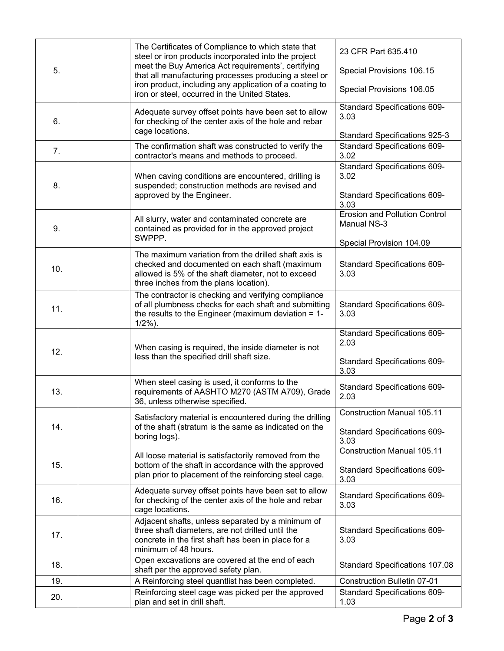| 5.  |  | The Certificates of Compliance to which state that<br>steel or iron products incorporated into the project<br>meet the Buy America Act requirements', certifying<br>that all manufacturing processes producing a steel or | 23 CFR Part 635.410                                                         |
|-----|--|---------------------------------------------------------------------------------------------------------------------------------------------------------------------------------------------------------------------------|-----------------------------------------------------------------------------|
|     |  |                                                                                                                                                                                                                           | Special Provisions 106.15                                                   |
|     |  | iron product, including any application of a coating to<br>iron or steel, occurred in the United States.                                                                                                                  | Special Provisions 106.05                                                   |
| 6.  |  | Adequate survey offset points have been set to allow<br>for checking of the center axis of the hole and rebar<br>cage locations.                                                                                          | Standard Specifications 609-<br>3.03                                        |
|     |  |                                                                                                                                                                                                                           | Standard Specifications 925-3                                               |
| 7.  |  | The confirmation shaft was constructed to verify the<br>contractor's means and methods to proceed.                                                                                                                        | <b>Standard Specifications 609-</b><br>3.02                                 |
| 8.  |  | When caving conditions are encountered, drilling is<br>suspended; construction methods are revised and<br>approved by the Engineer.                                                                                       | <b>Standard Specifications 609-</b><br>3.02<br>Standard Specifications 609- |
|     |  |                                                                                                                                                                                                                           | 3.03                                                                        |
| 9.  |  | All slurry, water and contaminated concrete are<br>contained as provided for in the approved project<br>SWPPP.                                                                                                            | <b>Erosion and Pollution Control</b><br>Manual NS-3                         |
|     |  |                                                                                                                                                                                                                           | Special Provision 104.09                                                    |
| 10. |  | The maximum variation from the drilled shaft axis is<br>checked and documented on each shaft (maximum<br>allowed is 5% of the shaft diameter, not to exceed<br>three inches from the plans location).                     | <b>Standard Specifications 609-</b><br>3.03                                 |
|     |  | The contractor is checking and verifying compliance                                                                                                                                                                       |                                                                             |
| 11. |  | of all plumbness checks for each shaft and submitting<br>the results to the Engineer (maximum deviation $= 1$ -<br>$1/2%$ ).                                                                                              | Standard Specifications 609-<br>3.03                                        |
| 12. |  | When casing is required, the inside diameter is not<br>less than the specified drill shaft size.                                                                                                                          | Standard Specifications 609-<br>2.03                                        |
|     |  |                                                                                                                                                                                                                           | Standard Specifications 609-<br>3.03                                        |
| 13. |  | When steel casing is used, it conforms to the<br>requirements of AASHTO M270 (ASTM A709), Grade<br>36, unless otherwise specified.                                                                                        | Standard Specifications 609-<br>2.03                                        |
|     |  | Satisfactory material is encountered during the drilling                                                                                                                                                                  | <b>Construction Manual 105.11</b>                                           |
| 14. |  | of the shaft (stratum is the same as indicated on the<br>boring logs).                                                                                                                                                    | <b>Standard Specifications 609-</b><br>3.03                                 |
|     |  | All loose material is satisfactorily removed from the                                                                                                                                                                     | <b>Construction Manual 105.11</b>                                           |
| 15. |  | bottom of the shaft in accordance with the approved<br>plan prior to placement of the reinforcing steel cage.                                                                                                             | Standard Specifications 609-<br>3.03                                        |
| 16. |  | Adequate survey offset points have been set to allow<br>for checking of the center axis of the hole and rebar<br>cage locations.                                                                                          | Standard Specifications 609-<br>3.03                                        |
| 17. |  | Adjacent shafts, unless separated by a minimum of<br>three shaft diameters, are not drilled until the<br>concrete in the first shaft has been in place for a<br>minimum of 48 hours.                                      | Standard Specifications 609-<br>3.03                                        |
| 18. |  | Open excavations are covered at the end of each<br>shaft per the approved safety plan.                                                                                                                                    | Standard Specifications 107.08                                              |
| 19. |  | A Reinforcing steel quantlist has been completed.                                                                                                                                                                         | <b>Construction Bulletin 07-01</b>                                          |
| 20. |  | Reinforcing steel cage was picked per the approved<br>plan and set in drill shaft.                                                                                                                                        | Standard Specifications 609-<br>1.03                                        |